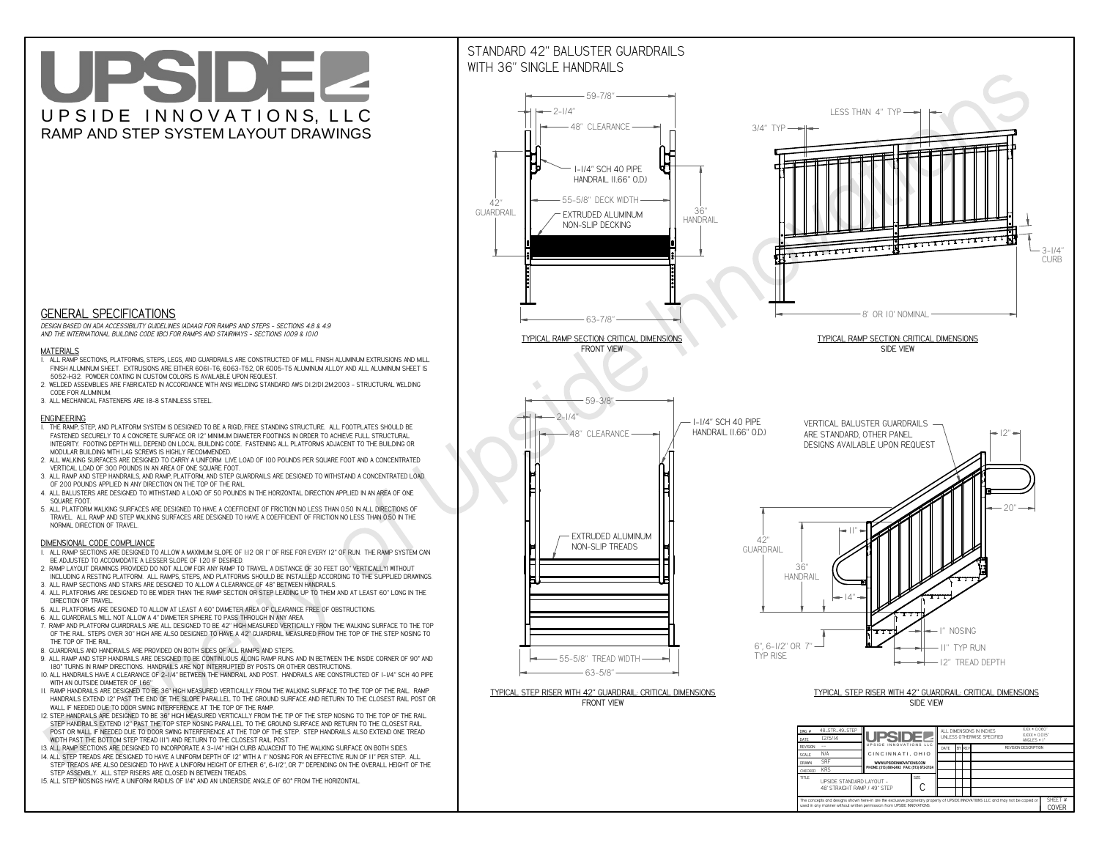**C**The concepts and designs shown here-in are the exclusive proprietary property of UPSIDE INNOVATIONS LLC. and may not be copied o

**I** 

**used in any manner without written permission from UPSIDE INNOVATIONS.**

# UPSIDEL UPSIDE INNOVATIONS, LLC RAMP AND STEP SYSTEM LAYOUT DRAWINGS

SHEET #**COVER**

48' STRAIGHT RAMP / 49" STEP

## STANDARD 42" BALUSTER GUARDRAILSWITH 36" SINGLE HANDRAILS





 *DESIGN BASED ON ADA ACCESSIBILITY GUIDELINES (ADAAG) FOR RAMPS AND STEPS - SECTIONS 4.8 & 4.9AND THE INTERNATIONAL BUILDING CODE (IBC) FOR RAMPS AND STAIRWAYS - SECTIONS 1009 & 1010*

#### **MATERIALS**

- **1. ALL RAMP SECTIONS, PLATFORMS, STEPS, LEGS, AND GUARDRAILS ARE CONSTRUCTED OF MILL FINISH ALUMINUM EXTRUSIONS AND MILL FINISH ALUMINUM SHEET. EXTRUSIONS ARE EITHER 6061-T6, 6063-T52, OR 6005-T5 ALUMINUM ALLOY AND ALL ALUMINUM SHEET IS 5052-H32. POWDER COATING IN CUSTOM COLORS IS AVAILABLE UPON REQUEST.**
- **2. WELDED ASSEMBLIES ARE FABRICATED IN ACCORDANCE WITH ANSI WELDING STANDARD AWS D1.2/D1.2M:2003 STRUCTURAL WELDING CODE FOR ALUMINUM.**
- **3. ALL MECHANICAL FASTENERS ARE 18-8 STAINLESS STEEL.**

#### **ENGINEERING**

- **1. THE RAMP, STEP, AND PLATFORM SYSTEM IS DESIGNED TO BE A RIGID, FREE STANDING STRUCTURE. ALL FOOTPLATES SHOULD BE FASTENED SECURELY TO A CONCRETE SURFACE OR 12" MINIMUM DIAMETER FOOTINGS IN ORDER TO ACHIEVE FULL STRUCTURAL INTEGRITY. FOOTING DEPTH WILL DEPEND ON LOCAL BUILDING CODE. FASTENING ALL PLATFORMS ADJACENT TO THE BUILDING OR MODULAR BUILDING WITH LAG SCREWS IS HIGHLY RECOMMENDED.**
- **2. ALL WALKING SURFACES ARE DESIGNED TO CARRY A UNIFORM LIVE LOAD OF 100 POUNDS PER SQUARE FOOT AND A CONCENTRATED VERTICAL LOAD OF 300 POUNDS IN AN AREA OF ONE SQUARE FOOT.**
- **3. ALL RAMP AND STEP HANDRAILS, AND RAMP, PLATFORM, AND STEP GUARDRAILS ARE DESIGNED TO WITHSTAND A CONCENTRATED LOAD OF 200 POUNDS APPLIED IN ANY DIRECTION ON THE TOP OF THE RAIL.**
- **4. ALL BALUSTERS ARE DESIGNED TO WITHSTAND A LOAD OF 50 POUNDS IN THE HORIZONTAL DIRECTION APPLIED IN AN AREA OF ONE SQUARE FOOT.**
- **5. ALL PLATFORM WALKING SURFACES ARE DESIGNED TO HAVE A COEFFICIENT OF FRICTION NO LESS THAN 0.50 IN ALL DIRECTIONS OF TRAVEL. ALL RAMP AND STEP WALKING SURFACES ARE DESIGNED TO HAVE A COEFFICIENT OF FRICTION NO LESS THAN 0.50 IN THE NORMAL DIRECTION OF TRAVEL.**

### **DIMENSIONAL CODE COMPLIANCE**

- **1. ALL RAMP SECTIONS ARE DESIGNED TO ALLOW A MAXIMUM SLOPE OF 1:12 OR 1" OF RISE FOR EVERY 12" OF RUN. THE RAMP SYSTEM CAN BE ADJUSTED TO ACCOMODATE A LESSER SLOPE OF 1:20 IF DESIRED.**
- **2. RAMP LAYOUT DRAWINGS PROVIDED DO NOT ALLOW FOR ANY RAMP TO TRAVEL A DISTANCE OF 30 FEET (30" VERTICALLY) WITHOUT INCLUDING A RESTING PLATFORM. ALL RAMPS, STEPS, AND PLATFORMS SHOULD BE INSTALLED ACCORDING TO THE SUPPLIED DRAWINGS.**
- **3. ALL RAMP SECTIONS AND STAIRS ARE DESIGNED TO ALLOW A CLEARANCE OF 48" BETWEEN HANDRAILS.**
- **4. ALL PLATFORMS ARE DESIGNED TO BE WIDER THAN THE RAMP SECTION OR STEP LEADING UP TO THEM AND AT LEAST 60" LONG IN THE DIRECTION OF TRAVEL.**
- **5. ALL PLATFORMS ARE DESIGNED TO ALLOW AT LEAST A 60" DIAMETER AREA OF CLEARANCE FREE OF OBSTRUCTIONS.**
- **6. ALL GUARDRAILS WILL NOT ALLOW A 4" DIAMETER SPHERE TO PASS THROUGH IN ANY AREA.**
- **7. RAMP AND PLATFORM GUARDRAILS ARE ALL DESIGNED TO BE 42" HIGH MEASURED VERTICALLY FROM THE WALKING SURFACE TO THE TOP OF THE RAIL. STEPS OVER 30" HIGH ARE ALSO DESIGNED TO HAVE A 42" GUARDRAIL MEASURED FROM THE TOP OF THE STEP NOSING TO THE TOP OF THE RAIL.**
- **8. GUARDRAILS AND HANDRAILS ARE PROVIDED ON BOTH SIDES OF ALL RAMPS AND STEPS.**
- **9. ALL RAMP AND STEP HANDRAILS ARE DESIGNED TO BE CONTINUOUS ALONG RAMP RUNS AND IN BETWEEN THE INSIDE CORNER OF 90° AND 180° TURNS IN RAMP DIRECTIONS. HANDRAILS ARE NOT INTERRUPTED BY POSTS OR OTHER OBSTRUCTIONS.**
- **10. ALL HANDRAILS HAVE A CLEARANCE OF 2-1/4" BETWEEN THE HANDRAIL AND POST. HANDRAILS ARE CONSTRUCTED OF 1-1/4" SCH 40 PIPE WITH AN OUTSIDE DIAMETER OF 1.66"**
- **11. RAMP HANDRAILS ARE DESIGNED TO BE 36" HIGH MEASURED VERTICALLY FROM THE WALKING SURFACE TO THE TOP OF THE RAIL. RAMP HANDRAILS EXTEND 12" PAST THE END OF THE SLOPE PARALLEL TO THE GROUND SURFACE AND RETURN TO THE CLOSEST RAIL POST OR WALL IF NEEDED DUE TO DOOR SWING INTERFERENCE AT THE TOP OF THE RAMP.**
- **12. STEP HANDRAILS ARE DESIGNED TO BE 36" HIGH MEASURED VERTICALLY FROM THE TIP OF THE STEP NOSING TO THE TOP OF THE RAIL. STEP HANDRAILS EXTEND 12" PAST THE TOP STEP NOSING PARALLEL TO THE GROUND SURFACE AND RETURN TO THE CLOSEST RAIL POST OR WALL IF NEEDED DUE TO DOOR SWING INTERFERENCE AT THE TOP OF THE STEP. STEP HANDRAILS ALSO EXTEND ONE TREAD WIDTH PAST THE BOTTOM STEP TREAD (11") AND RETURN TO THE CLOSEST RAIL POST.**
- **13. ALL RAMP SECTIONS ARE DESIGNED TO INCORPORATE A 3-1/4" HIGH CURB ADJACENT TO THE WALKING SURFACE ON BOTH SIDES.**
- **14. ALL STEP TREADS ARE DESIGNED TO HAVE A UNIFORM DEPTH OF 12" WITH A 1" NOSING FOR AN EFFECTIVE RUN OF 11" PER STEP. ALL**
- **STEP TREADS ARE ALSO DESIGNED TO HAVE A UNIFORM HEIGHT OF EITHER 6", 6-1/2", OR 7" DEPENDING ON THE OVERALL HEIGHT OF THE STEP ASSEMBLY. ALL STEP RISERS ARE CLOSED IN BETWEEN TREADS.**
- **15. ALL STEP NOSINGS HAVE A UNIFORM RADIUS OF 1/4" AND AN UNDERSIDE ANGLE OF 60° FROM THE HORIZONTAL.**